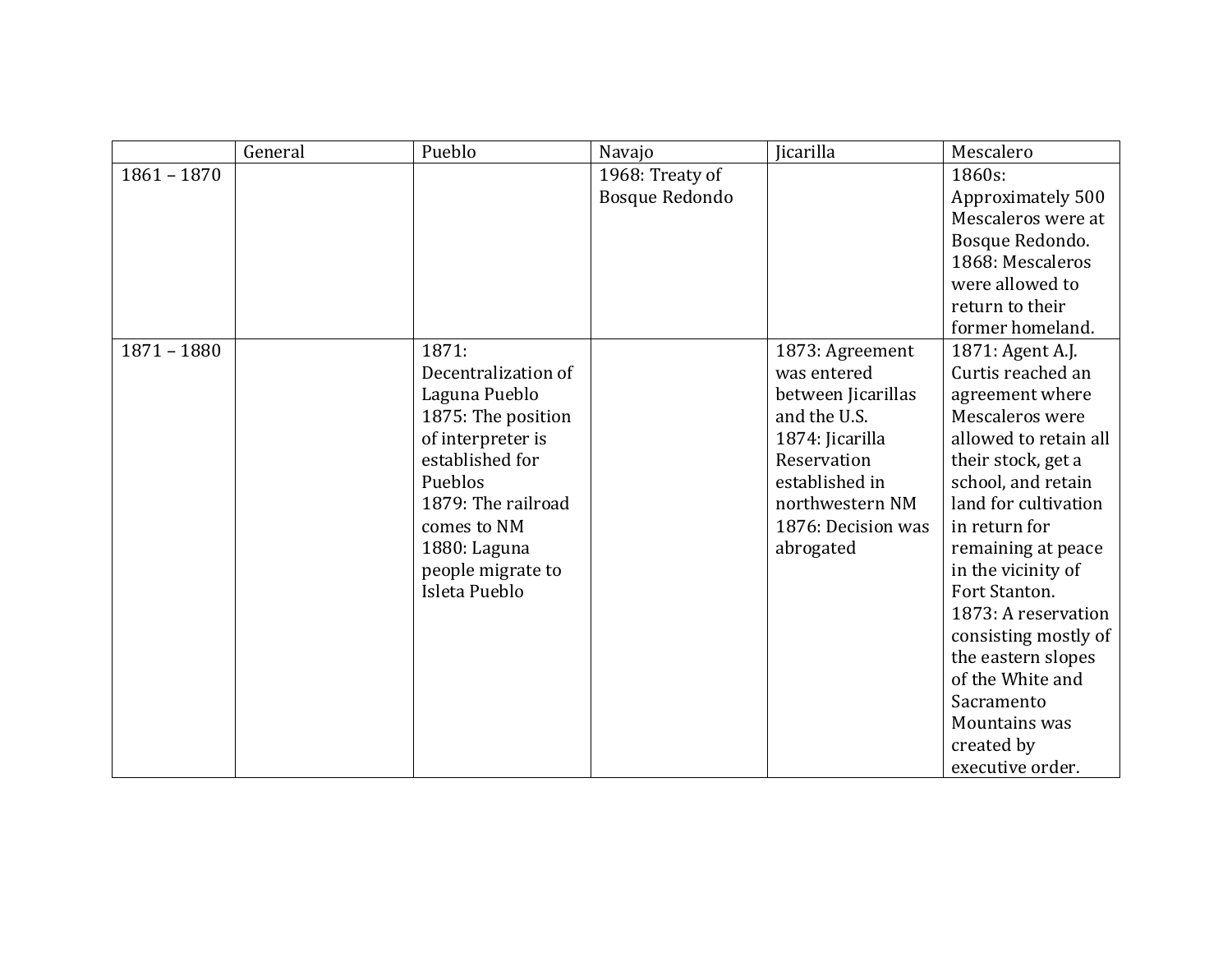|               | General | Pueblo              | Navajo          | Jicarilla          | Mescalero             |
|---------------|---------|---------------------|-----------------|--------------------|-----------------------|
| $1861 - 1870$ |         |                     | 1968: Treaty of |                    | 1860s:                |
|               |         |                     | Bosque Redondo  |                    | Approximately 500     |
|               |         |                     |                 |                    | Mescaleros were at    |
|               |         |                     |                 |                    | Bosque Redondo.       |
|               |         |                     |                 |                    | 1868: Mescaleros      |
|               |         |                     |                 |                    | were allowed to       |
|               |         |                     |                 |                    | return to their       |
|               |         |                     |                 |                    | former homeland.      |
| $1871 - 1880$ |         | 1871:               |                 | 1873: Agreement    | 1871: Agent A.J.      |
|               |         | Decentralization of |                 | was entered        | Curtis reached an     |
|               |         | Laguna Pueblo       |                 | between Jicarillas | agreement where       |
|               |         | 1875: The position  |                 | and the U.S.       | Mescaleros were       |
|               |         | of interpreter is   |                 | 1874: Jicarilla    | allowed to retain all |
|               |         | established for     |                 | Reservation        | their stock, get a    |
|               |         | Pueblos             |                 | established in     | school, and retain    |
|               |         | 1879: The railroad  |                 | northwestern NM    | land for cultivation  |
|               |         | comes to NM         |                 | 1876: Decision was | in return for         |
|               |         | 1880: Laguna        |                 | abrogated          | remaining at peace    |
|               |         | people migrate to   |                 |                    | in the vicinity of    |
|               |         | Isleta Pueblo       |                 |                    | Fort Stanton.         |
|               |         |                     |                 |                    | 1873: A reservation   |
|               |         |                     |                 |                    | consisting mostly of  |
|               |         |                     |                 |                    | the eastern slopes    |
|               |         |                     |                 |                    | of the White and      |
|               |         |                     |                 |                    | Sacramento            |
|               |         |                     |                 |                    | Mountains was         |
|               |         |                     |                 |                    | created by            |
|               |         |                     |                 |                    | executive order.      |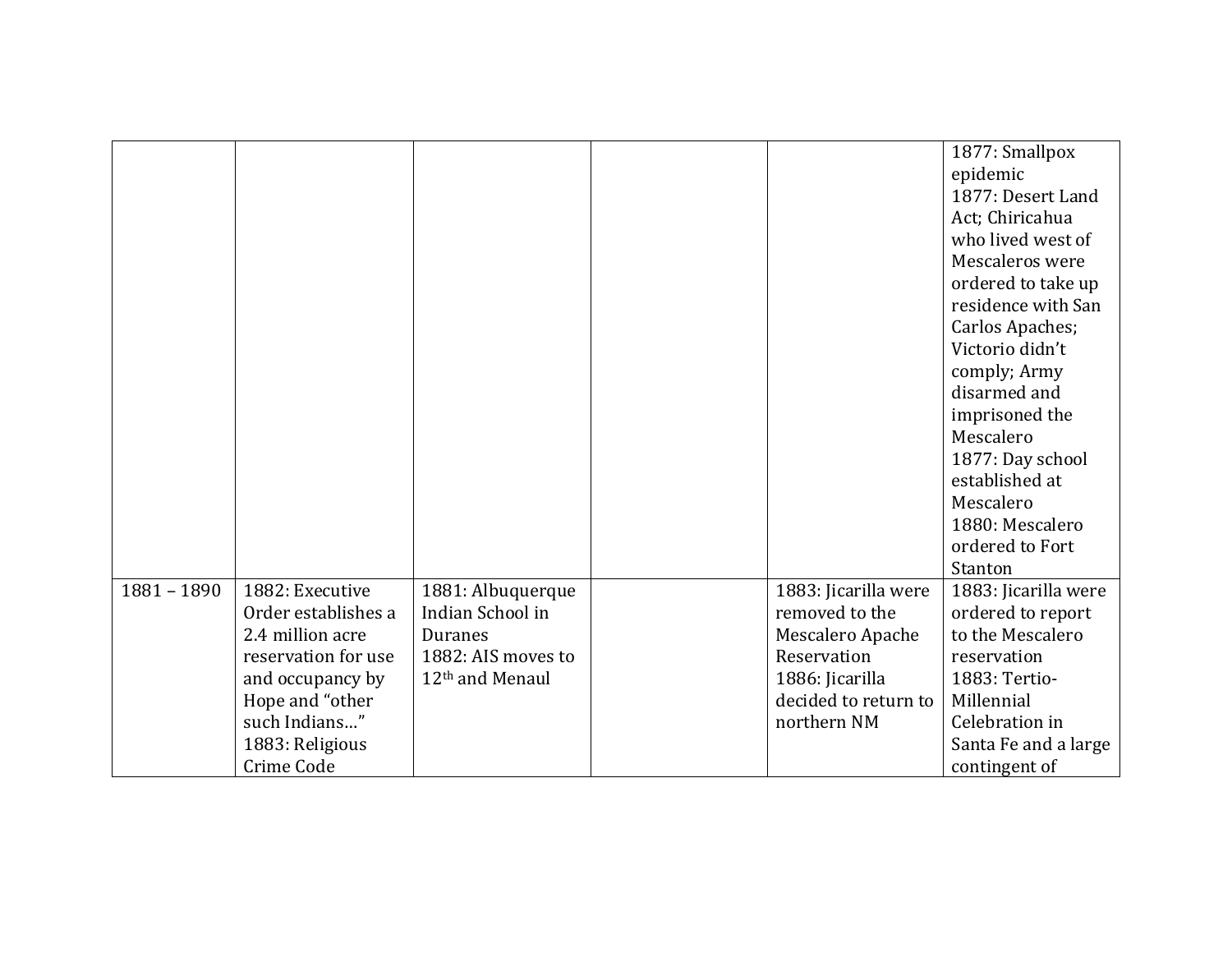|               |                     |                             |                      | 1877: Smallpox       |
|---------------|---------------------|-----------------------------|----------------------|----------------------|
|               |                     |                             |                      | epidemic             |
|               |                     |                             |                      | 1877: Desert Land    |
|               |                     |                             |                      | Act; Chiricahua      |
|               |                     |                             |                      | who lived west of    |
|               |                     |                             |                      | Mescaleros were      |
|               |                     |                             |                      | ordered to take up   |
|               |                     |                             |                      | residence with San   |
|               |                     |                             |                      | Carlos Apaches;      |
|               |                     |                             |                      | Victorio didn't      |
|               |                     |                             |                      | comply; Army         |
|               |                     |                             |                      | disarmed and         |
|               |                     |                             |                      | imprisoned the       |
|               |                     |                             |                      | Mescalero            |
|               |                     |                             |                      | 1877: Day school     |
|               |                     |                             |                      | established at       |
|               |                     |                             |                      | Mescalero            |
|               |                     |                             |                      | 1880: Mescalero      |
|               |                     |                             |                      | ordered to Fort      |
|               |                     |                             |                      | Stanton              |
| $1881 - 1890$ | 1882: Executive     | 1881: Albuquerque           | 1883: Jicarilla were | 1883: Jicarilla were |
|               | Order establishes a | Indian School in            | removed to the       | ordered to report    |
|               | 2.4 million acre    | <b>Duranes</b>              | Mescalero Apache     | to the Mescalero     |
|               | reservation for use | 1882: AIS moves to          | Reservation          | reservation          |
|               | and occupancy by    | 12 <sup>th</sup> and Menaul | 1886: Jicarilla      | 1883: Tertio-        |
|               | Hope and "other     |                             | decided to return to | Millennial           |
|               | such Indians"       |                             | northern NM          | Celebration in       |
|               | 1883: Religious     |                             |                      | Santa Fe and a large |
|               | Crime Code          |                             |                      | contingent of        |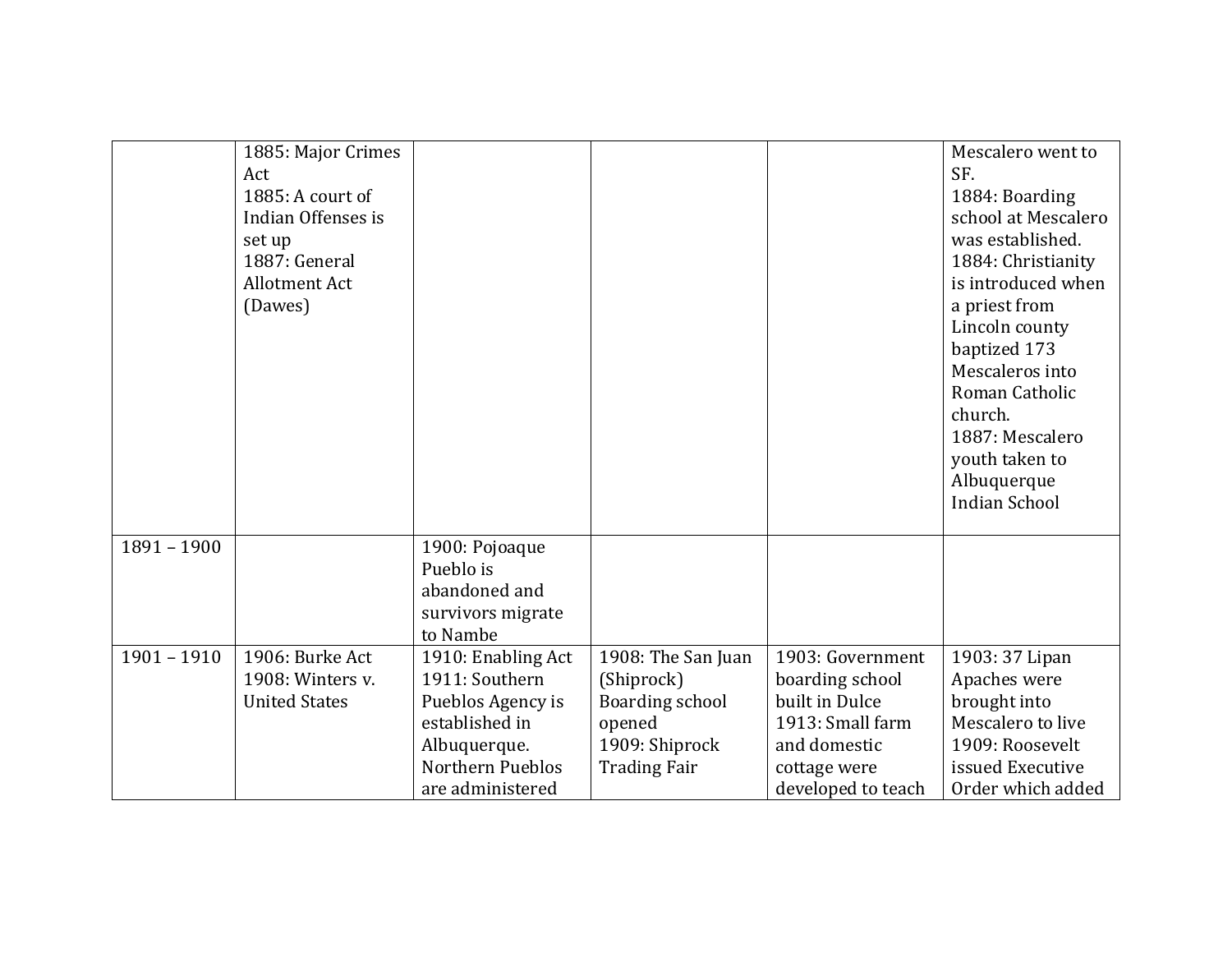|               | 1885: Major Crimes   |                    |                     |                    | Mescalero went to    |
|---------------|----------------------|--------------------|---------------------|--------------------|----------------------|
|               | Act                  |                    |                     |                    | SF.                  |
|               | 1885: A court of     |                    |                     |                    | 1884: Boarding       |
|               | Indian Offenses is   |                    |                     |                    | school at Mescalero  |
|               | set up               |                    |                     |                    | was established.     |
|               | 1887: General        |                    |                     |                    | 1884: Christianity   |
|               | <b>Allotment Act</b> |                    |                     |                    | is introduced when   |
|               | (Dawes)              |                    |                     |                    | a priest from        |
|               |                      |                    |                     |                    | Lincoln county       |
|               |                      |                    |                     |                    | baptized 173         |
|               |                      |                    |                     |                    | Mescaleros into      |
|               |                      |                    |                     |                    | Roman Catholic       |
|               |                      |                    |                     |                    | church.              |
|               |                      |                    |                     |                    | 1887: Mescalero      |
|               |                      |                    |                     |                    | youth taken to       |
|               |                      |                    |                     |                    | Albuquerque          |
|               |                      |                    |                     |                    | <b>Indian School</b> |
|               |                      |                    |                     |                    |                      |
| $1891 - 1900$ |                      | 1900: Pojoaque     |                     |                    |                      |
|               |                      | Pueblo is          |                     |                    |                      |
|               |                      | abandoned and      |                     |                    |                      |
|               |                      | survivors migrate  |                     |                    |                      |
|               |                      | to Nambe           |                     |                    |                      |
| $1901 - 1910$ | 1906: Burke Act      | 1910: Enabling Act | 1908: The San Juan  | 1903: Government   | 1903: 37 Lipan       |
|               | 1908: Winters v.     | 1911: Southern     | (Shiprock)          | boarding school    | Apaches were         |
|               | <b>United States</b> | Pueblos Agency is  | Boarding school     | built in Dulce     | brought into         |
|               |                      | established in     | opened              | 1913: Small farm   | Mescalero to live    |
|               |                      | Albuquerque.       | 1909: Shiprock      | and domestic       | 1909: Roosevelt      |
|               |                      | Northern Pueblos   | <b>Trading Fair</b> | cottage were       | issued Executive     |
|               |                      | are administered   |                     | developed to teach | Order which added    |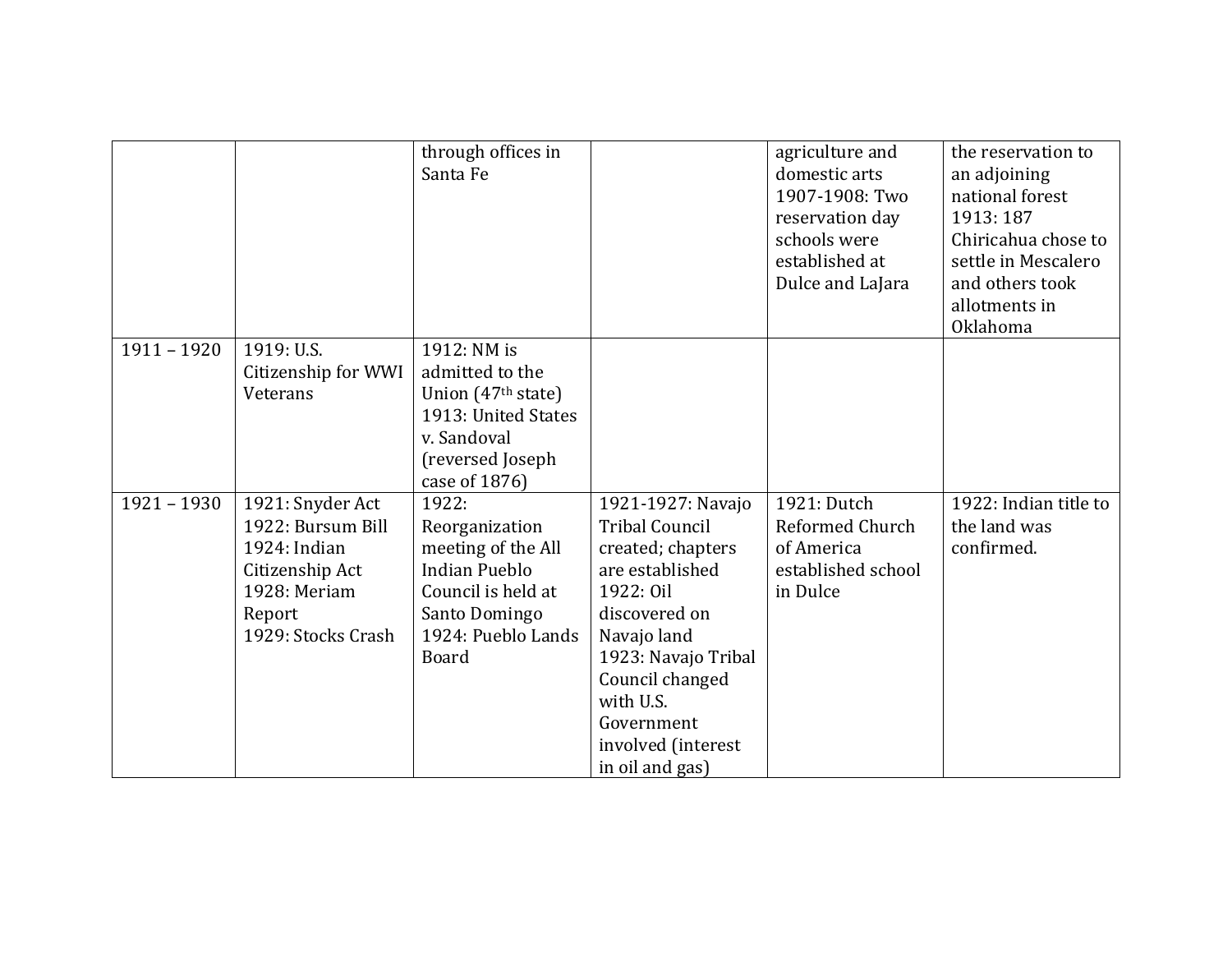|               |                     | through offices in             |                       | agriculture and    | the reservation to    |
|---------------|---------------------|--------------------------------|-----------------------|--------------------|-----------------------|
|               |                     | Santa Fe                       |                       | domestic arts      | an adjoining          |
|               |                     |                                |                       | 1907-1908: Two     | national forest       |
|               |                     |                                |                       | reservation day    | 1913: 187             |
|               |                     |                                |                       | schools were       | Chiricahua chose to   |
|               |                     |                                |                       | established at     | settle in Mescalero   |
|               |                     |                                |                       | Dulce and LaJara   | and others took       |
|               |                     |                                |                       |                    | allotments in         |
|               |                     |                                |                       |                    | Oklahoma              |
| $1911 - 1920$ | 1919: U.S.          | 1912: NM is                    |                       |                    |                       |
|               |                     |                                |                       |                    |                       |
|               | Citizenship for WWI | admitted to the                |                       |                    |                       |
|               | Veterans            | Union (47 <sup>th</sup> state) |                       |                    |                       |
|               |                     | 1913: United States            |                       |                    |                       |
|               |                     | v. Sandoval                    |                       |                    |                       |
|               |                     | (reversed Joseph               |                       |                    |                       |
|               |                     | case of 1876)                  |                       |                    |                       |
| $1921 - 1930$ | 1921: Snyder Act    | 1922:                          | 1921-1927: Navajo     | 1921: Dutch        | 1922: Indian title to |
|               | 1922: Bursum Bill   | Reorganization                 | <b>Tribal Council</b> | Reformed Church    | the land was          |
|               | 1924: Indian        | meeting of the All             | created; chapters     | of America         | confirmed.            |
|               | Citizenship Act     | <b>Indian Pueblo</b>           | are established       | established school |                       |
|               | 1928: Meriam        | Council is held at             | 1922: Oil             | in Dulce           |                       |
|               | Report              | Santo Domingo                  | discovered on         |                    |                       |
|               | 1929: Stocks Crash  | 1924: Pueblo Lands             | Navajo land           |                    |                       |
|               |                     | <b>Board</b>                   | 1923: Navajo Tribal   |                    |                       |
|               |                     |                                |                       |                    |                       |
|               |                     |                                | Council changed       |                    |                       |
|               |                     |                                | with U.S.             |                    |                       |
|               |                     |                                | Government            |                    |                       |
|               |                     |                                | involved (interest    |                    |                       |
|               |                     |                                | in oil and gas)       |                    |                       |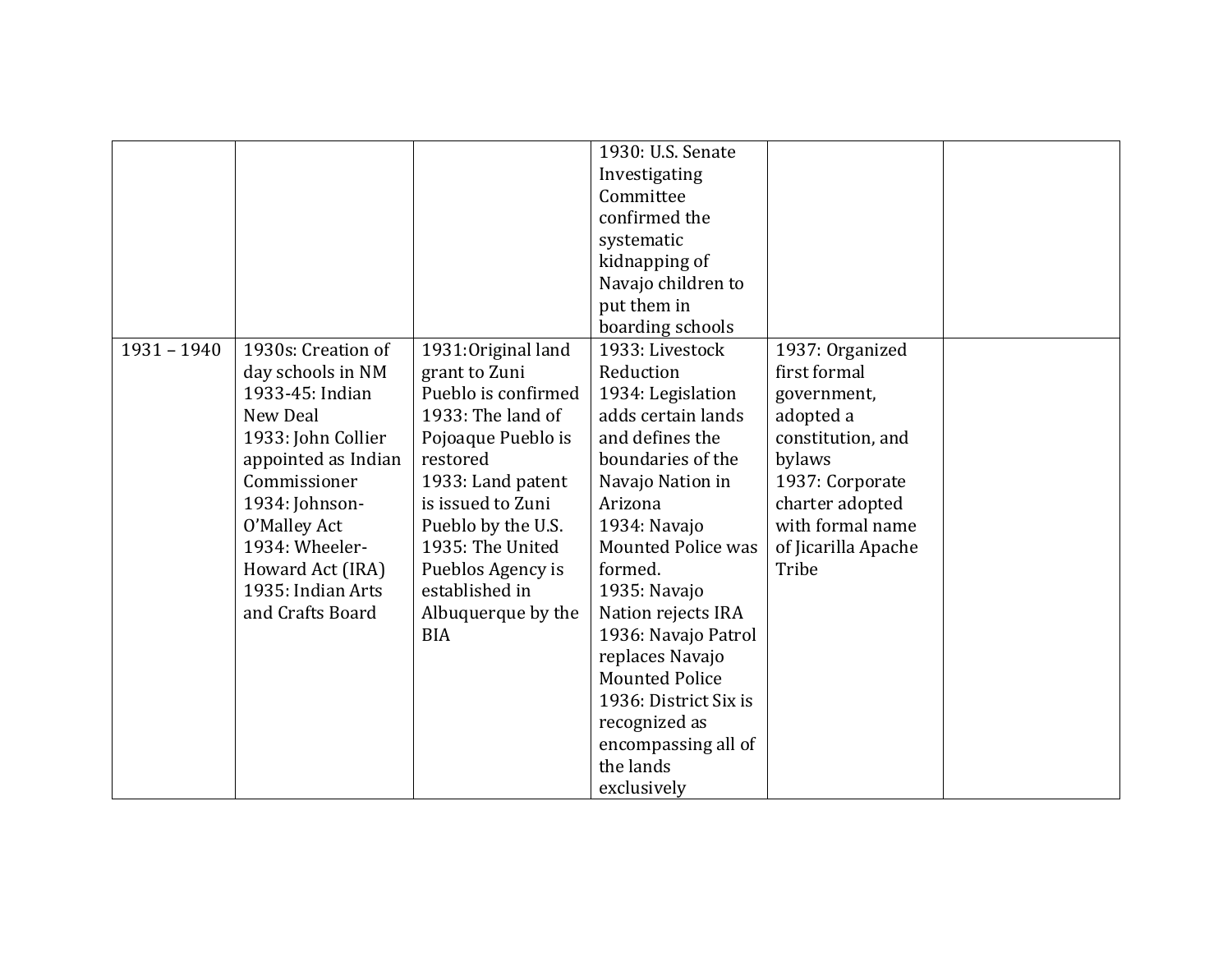|               |                     |                     | 1930: U.S. Senate         |                     |  |
|---------------|---------------------|---------------------|---------------------------|---------------------|--|
|               |                     |                     |                           |                     |  |
|               |                     |                     | Investigating             |                     |  |
|               |                     |                     | Committee                 |                     |  |
|               |                     |                     | confirmed the             |                     |  |
|               |                     |                     | systematic                |                     |  |
|               |                     |                     | kidnapping of             |                     |  |
|               |                     |                     | Navajo children to        |                     |  |
|               |                     |                     | put them in               |                     |  |
|               |                     |                     | boarding schools          |                     |  |
| $1931 - 1940$ | 1930s: Creation of  | 1931: Original land | 1933: Livestock           | 1937: Organized     |  |
|               | day schools in NM   | grant to Zuni       | Reduction                 | first formal        |  |
|               | 1933-45: Indian     | Pueblo is confirmed | 1934: Legislation         | government,         |  |
|               | New Deal            | 1933: The land of   | adds certain lands        | adopted a           |  |
|               | 1933: John Collier  | Pojoaque Pueblo is  | and defines the           | constitution, and   |  |
|               | appointed as Indian | restored            | boundaries of the         | bylaws              |  |
|               | Commissioner        | 1933: Land patent   | Navajo Nation in          | 1937: Corporate     |  |
|               | 1934: Johnson-      | is issued to Zuni   | Arizona                   | charter adopted     |  |
|               | O'Malley Act        | Pueblo by the U.S.  | 1934: Navajo              | with formal name    |  |
|               | 1934: Wheeler-      | 1935: The United    | <b>Mounted Police was</b> | of Jicarilla Apache |  |
|               | Howard Act (IRA)    | Pueblos Agency is   | formed.                   | Tribe               |  |
|               | 1935: Indian Arts   | established in      | 1935: Navajo              |                     |  |
|               | and Crafts Board    | Albuquerque by the  | Nation rejects IRA        |                     |  |
|               |                     | <b>BIA</b>          | 1936: Navajo Patrol       |                     |  |
|               |                     |                     | replaces Navajo           |                     |  |
|               |                     |                     | <b>Mounted Police</b>     |                     |  |
|               |                     |                     | 1936: District Six is     |                     |  |
|               |                     |                     |                           |                     |  |
|               |                     |                     | recognized as             |                     |  |
|               |                     |                     | encompassing all of       |                     |  |
|               |                     |                     | the lands                 |                     |  |
|               |                     |                     | exclusively               |                     |  |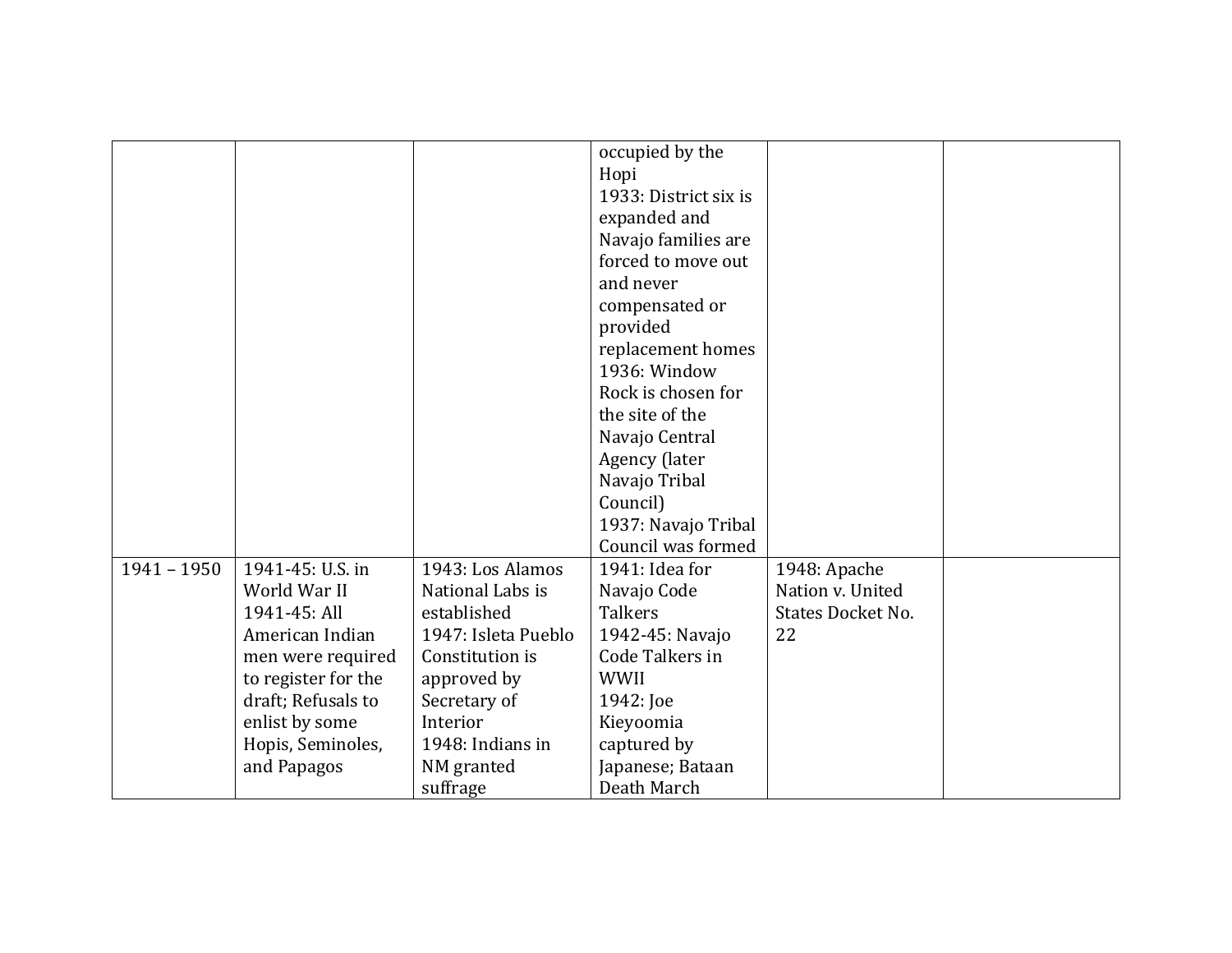|               |                     |                     | occupied by the       |                          |  |
|---------------|---------------------|---------------------|-----------------------|--------------------------|--|
|               |                     |                     | Hopi                  |                          |  |
|               |                     |                     | 1933: District six is |                          |  |
|               |                     |                     | expanded and          |                          |  |
|               |                     |                     | Navajo families are   |                          |  |
|               |                     |                     | forced to move out    |                          |  |
|               |                     |                     | and never             |                          |  |
|               |                     |                     | compensated or        |                          |  |
|               |                     |                     | provided              |                          |  |
|               |                     |                     | replacement homes     |                          |  |
|               |                     |                     | 1936: Window          |                          |  |
|               |                     |                     | Rock is chosen for    |                          |  |
|               |                     |                     | the site of the       |                          |  |
|               |                     |                     | Navajo Central        |                          |  |
|               |                     |                     | Agency (later         |                          |  |
|               |                     |                     | Navajo Tribal         |                          |  |
|               |                     |                     | Council)              |                          |  |
|               |                     |                     | 1937: Navajo Tribal   |                          |  |
|               |                     |                     | Council was formed    |                          |  |
| $1941 - 1950$ | 1941-45: U.S. in    | 1943: Los Alamos    | 1941: Idea for        | 1948: Apache             |  |
|               | World War II        | National Labs is    | Navajo Code           | Nation v. United         |  |
|               | 1941-45: All        | established         | <b>Talkers</b>        | <b>States Docket No.</b> |  |
|               | American Indian     | 1947: Isleta Pueblo | 1942-45: Navajo       | 22                       |  |
|               | men were required   | Constitution is     | Code Talkers in       |                          |  |
|               | to register for the | approved by         | <b>WWII</b>           |                          |  |
|               | draft; Refusals to  | Secretary of        | 1942: Joe             |                          |  |
|               | enlist by some      | Interior            | Kieyoomia             |                          |  |
|               | Hopis, Seminoles,   | 1948: Indians in    | captured by           |                          |  |
|               | and Papagos         | NM granted          | Japanese; Bataan      |                          |  |
|               |                     | suffrage            | Death March           |                          |  |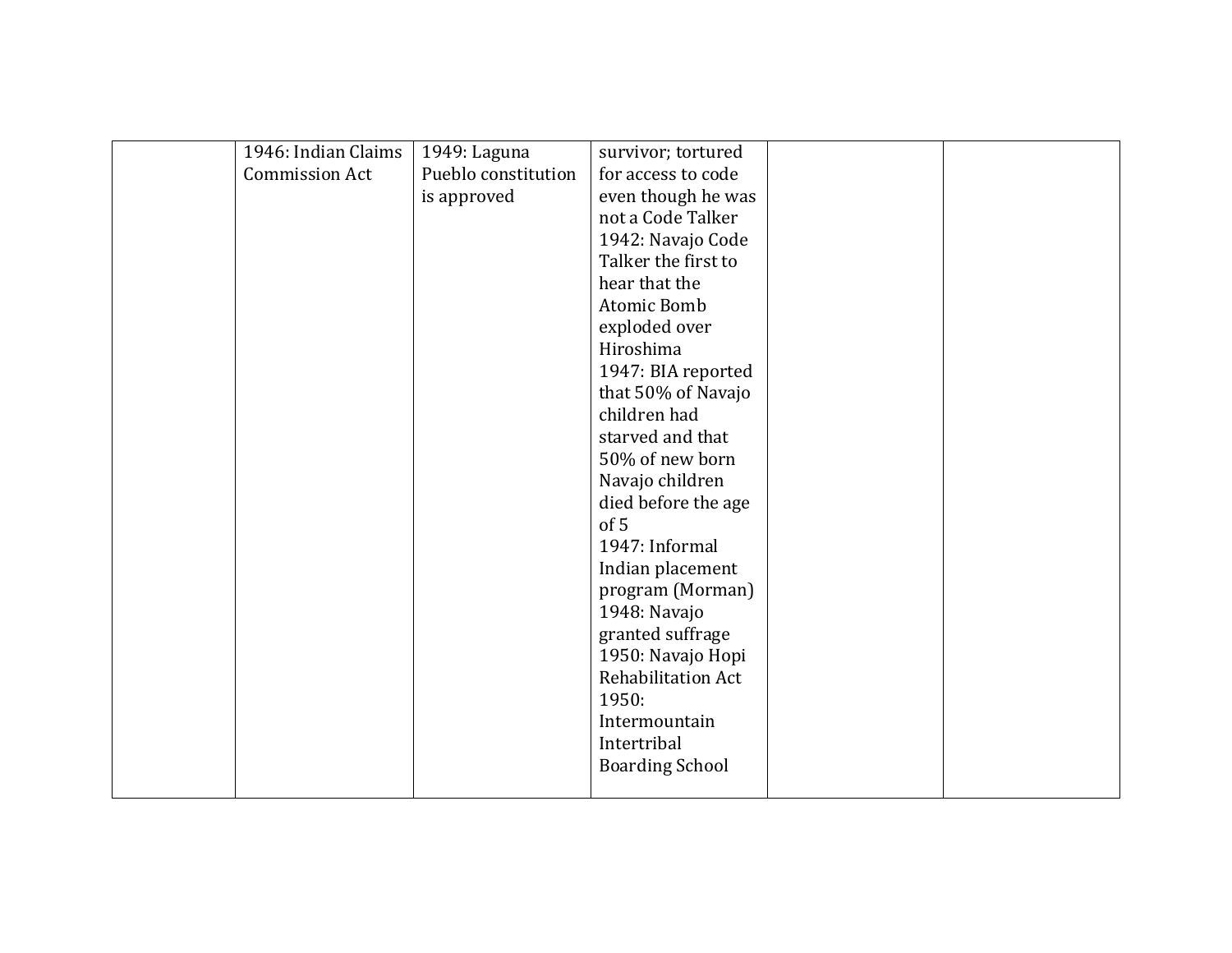| 1946: Indian Claims   | 1949: Laguna        | survivor; tortured     |  |
|-----------------------|---------------------|------------------------|--|
| <b>Commission Act</b> | Pueblo constitution | for access to code     |  |
|                       | is approved         | even though he was     |  |
|                       |                     | not a Code Talker      |  |
|                       |                     | 1942: Navajo Code      |  |
|                       |                     | Talker the first to    |  |
|                       |                     | hear that the          |  |
|                       |                     | Atomic Bomb            |  |
|                       |                     | exploded over          |  |
|                       |                     | Hiroshima              |  |
|                       |                     | 1947: BIA reported     |  |
|                       |                     | that 50% of Navajo     |  |
|                       |                     | children had           |  |
|                       |                     | starved and that       |  |
|                       |                     | 50% of new born        |  |
|                       |                     | Navajo children        |  |
|                       |                     | died before the age    |  |
|                       |                     | of 5                   |  |
|                       |                     | 1947: Informal         |  |
|                       |                     | Indian placement       |  |
|                       |                     | program (Morman)       |  |
|                       |                     | 1948: Navajo           |  |
|                       |                     | granted suffrage       |  |
|                       |                     | 1950: Navajo Hopi      |  |
|                       |                     | Rehabilitation Act     |  |
|                       |                     | 1950:                  |  |
|                       |                     | Intermountain          |  |
|                       |                     | Intertribal            |  |
|                       |                     | <b>Boarding School</b> |  |
|                       |                     |                        |  |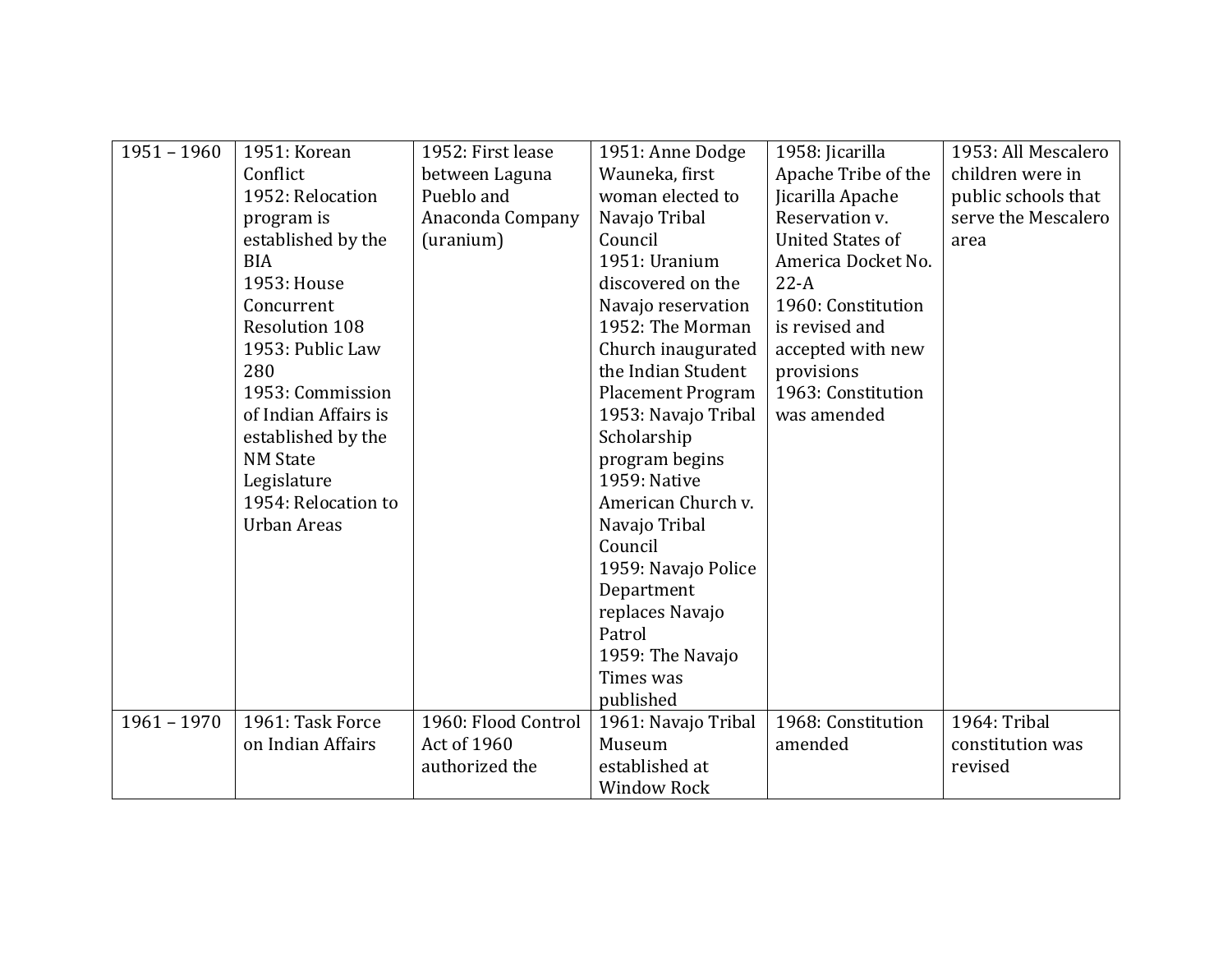| $1951 - 1960$ | 1951: Korean          | 1952: First lease   | 1951: Anne Dodge         | 1958: Jicarilla         | 1953: All Mescalero |
|---------------|-----------------------|---------------------|--------------------------|-------------------------|---------------------|
|               | Conflict              | between Laguna      | Wauneka, first           | Apache Tribe of the     | children were in    |
|               | 1952: Relocation      | Pueblo and          | woman elected to         | Jicarilla Apache        | public schools that |
|               | program is            | Anaconda Company    | Navajo Tribal            | Reservation v.          | serve the Mescalero |
|               | established by the    | (uranium)           | Council                  | <b>United States of</b> | area                |
|               | <b>BIA</b>            |                     | 1951: Uranium            | America Docket No.      |                     |
|               | 1953: House           |                     | discovered on the        | $22-A$                  |                     |
|               | Concurrent            |                     | Navajo reservation       | 1960: Constitution      |                     |
|               | <b>Resolution 108</b> |                     | 1952: The Morman         | is revised and          |                     |
|               | 1953: Public Law      |                     | Church inaugurated       | accepted with new       |                     |
|               | 280                   |                     | the Indian Student       | provisions              |                     |
|               | 1953: Commission      |                     | <b>Placement Program</b> | 1963: Constitution      |                     |
|               | of Indian Affairs is  |                     | 1953: Navajo Tribal      | was amended             |                     |
|               | established by the    |                     | Scholarship              |                         |                     |
|               | <b>NM State</b>       |                     | program begins           |                         |                     |
|               | Legislature           |                     | 1959: Native             |                         |                     |
|               | 1954: Relocation to   |                     | American Church v.       |                         |                     |
|               | <b>Urban Areas</b>    |                     | Navajo Tribal            |                         |                     |
|               |                       |                     | Council                  |                         |                     |
|               |                       |                     | 1959: Navajo Police      |                         |                     |
|               |                       |                     | Department               |                         |                     |
|               |                       |                     | replaces Navajo          |                         |                     |
|               |                       |                     | Patrol                   |                         |                     |
|               |                       |                     | 1959: The Navajo         |                         |                     |
|               |                       |                     | Times was                |                         |                     |
|               |                       |                     | published                |                         |                     |
| $1961 - 1970$ | 1961: Task Force      | 1960: Flood Control | 1961: Navajo Tribal      | 1968: Constitution      | 1964: Tribal        |
|               | on Indian Affairs     | Act of 1960         | Museum                   | amended                 | constitution was    |
|               |                       | authorized the      | established at           |                         | revised             |
|               |                       |                     | <b>Window Rock</b>       |                         |                     |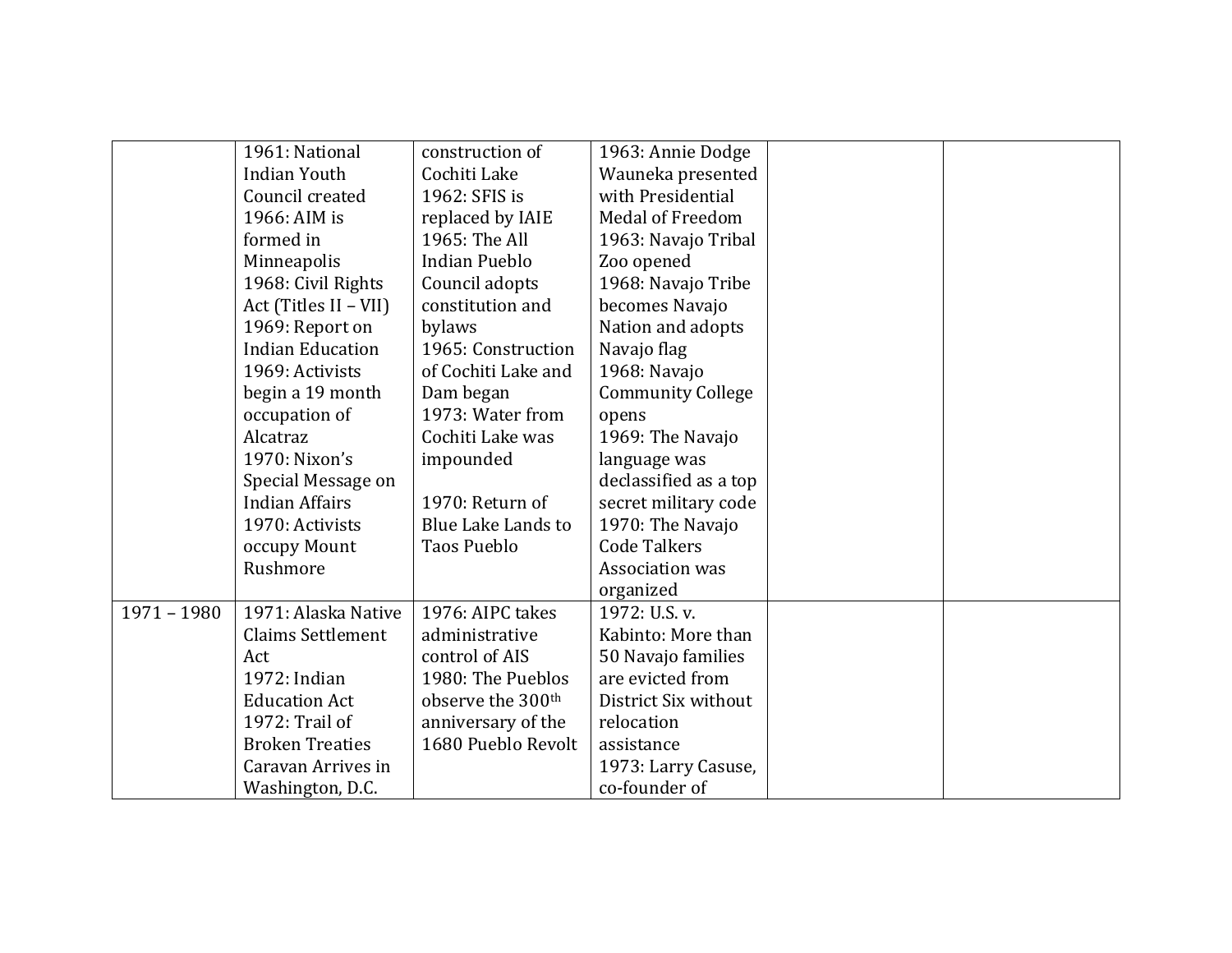|               | 1961: National           | construction of               | 1963: Annie Dodge        |  |
|---------------|--------------------------|-------------------------------|--------------------------|--|
|               | <b>Indian Youth</b>      | Cochiti Lake                  | Wauneka presented        |  |
|               | Council created          | 1962: SFIS is                 | with Presidential        |  |
|               | 1966: AIM is             | replaced by IAIE              | <b>Medal of Freedom</b>  |  |
|               | formed in                | 1965: The All                 | 1963: Navajo Tribal      |  |
|               | Minneapolis              | <b>Indian Pueblo</b>          | Zoo opened               |  |
|               | 1968: Civil Rights       | Council adopts                | 1968: Navajo Tribe       |  |
|               | Act (Titles II - VII)    | constitution and              | becomes Navajo           |  |
|               | 1969: Report on          | bylaws                        | Nation and adopts        |  |
|               | <b>Indian Education</b>  | 1965: Construction            | Navajo flag              |  |
|               | 1969: Activists          | of Cochiti Lake and           | 1968: Navajo             |  |
|               | begin a 19 month         | Dam began                     | <b>Community College</b> |  |
|               | occupation of            | 1973: Water from              | opens                    |  |
|               | Alcatraz                 | Cochiti Lake was              | 1969: The Navajo         |  |
|               | 1970: Nixon's            | impounded                     | language was             |  |
|               | Special Message on       |                               | declassified as a top    |  |
|               | <b>Indian Affairs</b>    | 1970: Return of               | secret military code     |  |
|               | 1970: Activists          | Blue Lake Lands to            | 1970: The Navajo         |  |
|               | occupy Mount             | Taos Pueblo                   | <b>Code Talkers</b>      |  |
|               | Rushmore                 |                               | Association was          |  |
|               |                          |                               | organized                |  |
| $1971 - 1980$ | 1971: Alaska Native      | 1976: AIPC takes              | 1972: U.S. v.            |  |
|               | <b>Claims Settlement</b> | administrative                | Kabinto: More than       |  |
|               | Act                      | control of AIS                | 50 Navajo families       |  |
|               | 1972: Indian             | 1980: The Pueblos             | are evicted from         |  |
|               | <b>Education Act</b>     | observe the 300 <sup>th</sup> | District Six without     |  |
|               | 1972: Trail of           | anniversary of the            | relocation               |  |
|               | <b>Broken Treaties</b>   | 1680 Pueblo Revolt            | assistance               |  |
|               | Caravan Arrives in       |                               | 1973: Larry Casuse,      |  |
|               | Washington, D.C.         |                               | co-founder of            |  |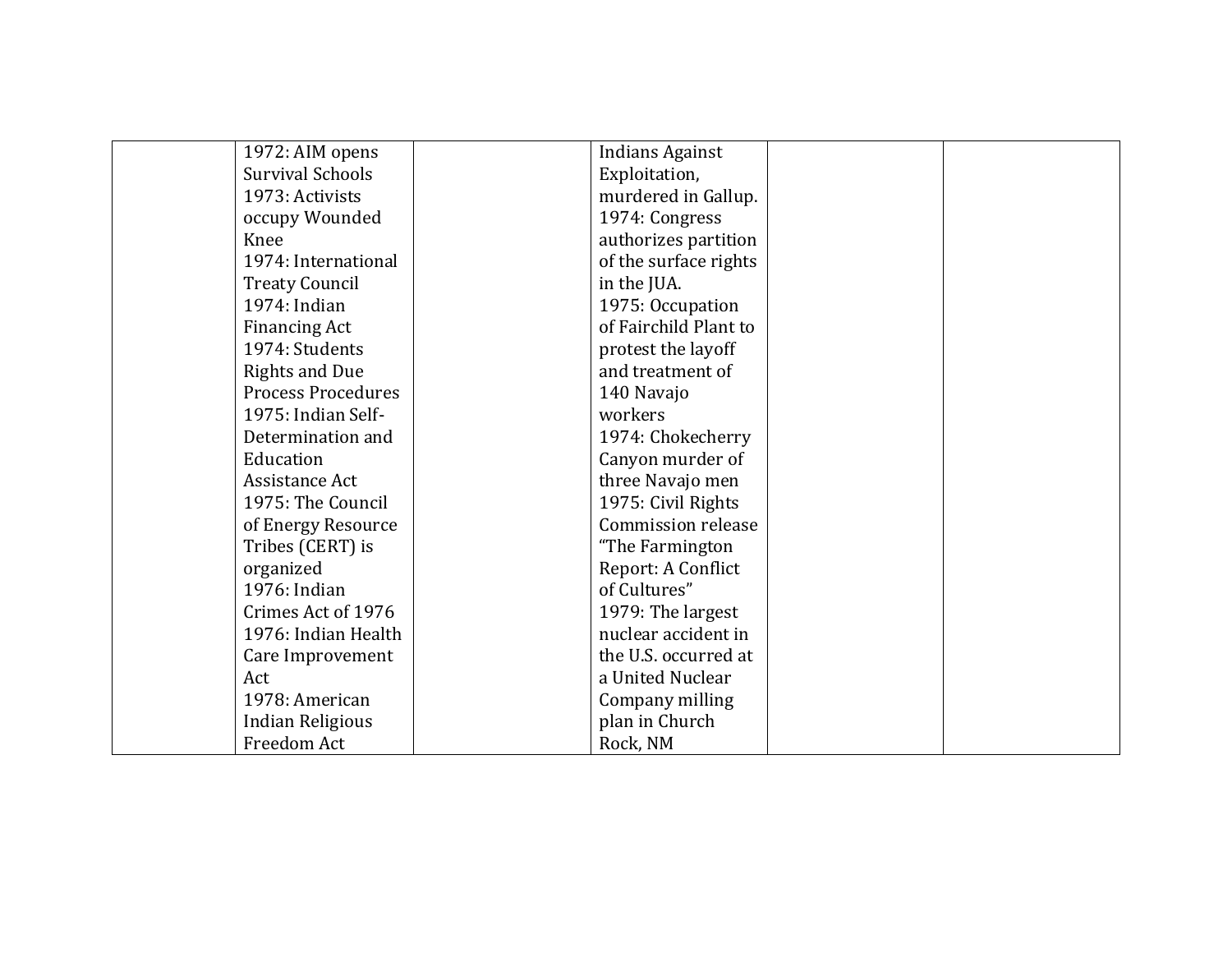| 1972: AIM opens           | <b>Indians Against</b> |  |
|---------------------------|------------------------|--|
| <b>Survival Schools</b>   | Exploitation,          |  |
| 1973: Activists           | murdered in Gallup.    |  |
| occupy Wounded            | 1974: Congress         |  |
| Knee                      | authorizes partition   |  |
| 1974: International       | of the surface rights  |  |
| <b>Treaty Council</b>     | in the JUA.            |  |
| 1974: Indian              | 1975: Occupation       |  |
| <b>Financing Act</b>      | of Fairchild Plant to  |  |
| 1974: Students            | protest the layoff     |  |
| <b>Rights and Due</b>     | and treatment of       |  |
| <b>Process Procedures</b> | 140 Navajo             |  |
| 1975: Indian Self-        | workers                |  |
| Determination and         | 1974: Chokecherry      |  |
| Education                 | Canyon murder of       |  |
| Assistance Act            | three Navajo men       |  |
| 1975: The Council         | 1975: Civil Rights     |  |
| of Energy Resource        | Commission release     |  |
| Tribes (CERT) is          | "The Farmington        |  |
| organized                 | Report: A Conflict     |  |
| 1976: Indian              | of Cultures"           |  |
| Crimes Act of 1976        | 1979: The largest      |  |
| 1976: Indian Health       | nuclear accident in    |  |
| Care Improvement          | the U.S. occurred at   |  |
| Act                       | a United Nuclear       |  |
| 1978: American            | Company milling        |  |
| <b>Indian Religious</b>   | plan in Church         |  |
| Freedom Act               | Rock, NM               |  |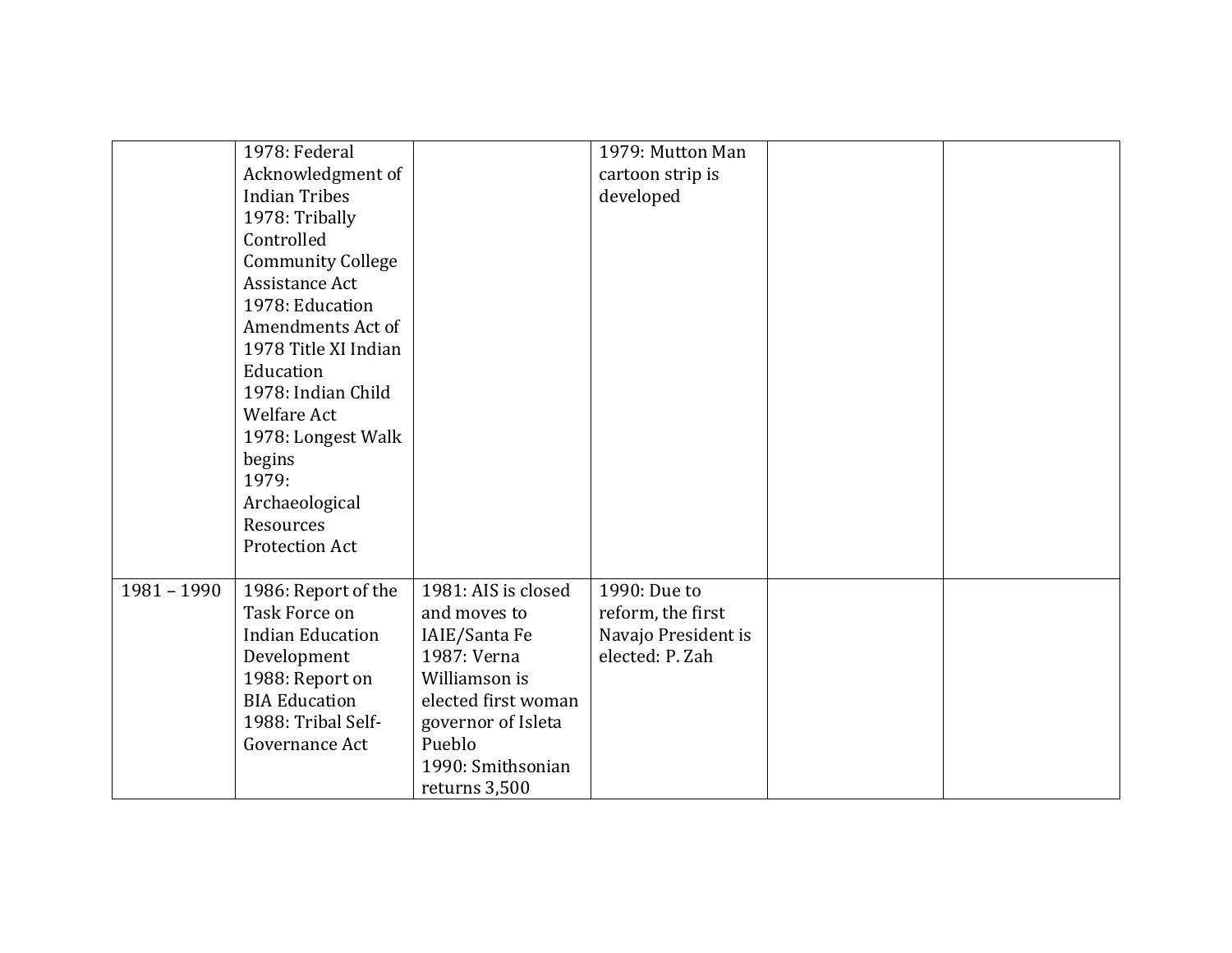|               | 1978: Federal            |                     | 1979: Mutton Man    |  |
|---------------|--------------------------|---------------------|---------------------|--|
|               | Acknowledgment of        |                     | cartoon strip is    |  |
|               | <b>Indian Tribes</b>     |                     | developed           |  |
|               | 1978: Tribally           |                     |                     |  |
|               | Controlled               |                     |                     |  |
|               | <b>Community College</b> |                     |                     |  |
|               | Assistance Act           |                     |                     |  |
|               | 1978: Education          |                     |                     |  |
|               | Amendments Act of        |                     |                     |  |
|               | 1978 Title XI Indian     |                     |                     |  |
|               | Education                |                     |                     |  |
|               | 1978: Indian Child       |                     |                     |  |
|               | <b>Welfare Act</b>       |                     |                     |  |
|               | 1978: Longest Walk       |                     |                     |  |
|               | begins                   |                     |                     |  |
|               | 1979:                    |                     |                     |  |
|               | Archaeological           |                     |                     |  |
|               | Resources                |                     |                     |  |
|               | <b>Protection Act</b>    |                     |                     |  |
|               |                          |                     |                     |  |
| $1981 - 1990$ | 1986: Report of the      | 1981: AIS is closed | 1990: Due to        |  |
|               | Task Force on            | and moves to        | reform, the first   |  |
|               | <b>Indian Education</b>  | IAIE/Santa Fe       | Navajo President is |  |
|               | Development              | 1987: Verna         | elected: P. Zah     |  |
|               | 1988: Report on          | Williamson is       |                     |  |
|               | <b>BIA Education</b>     | elected first woman |                     |  |
|               | 1988: Tribal Self-       | governor of Isleta  |                     |  |
|               | Governance Act           | Pueblo              |                     |  |
|               |                          | 1990: Smithsonian   |                     |  |
|               |                          | returns 3,500       |                     |  |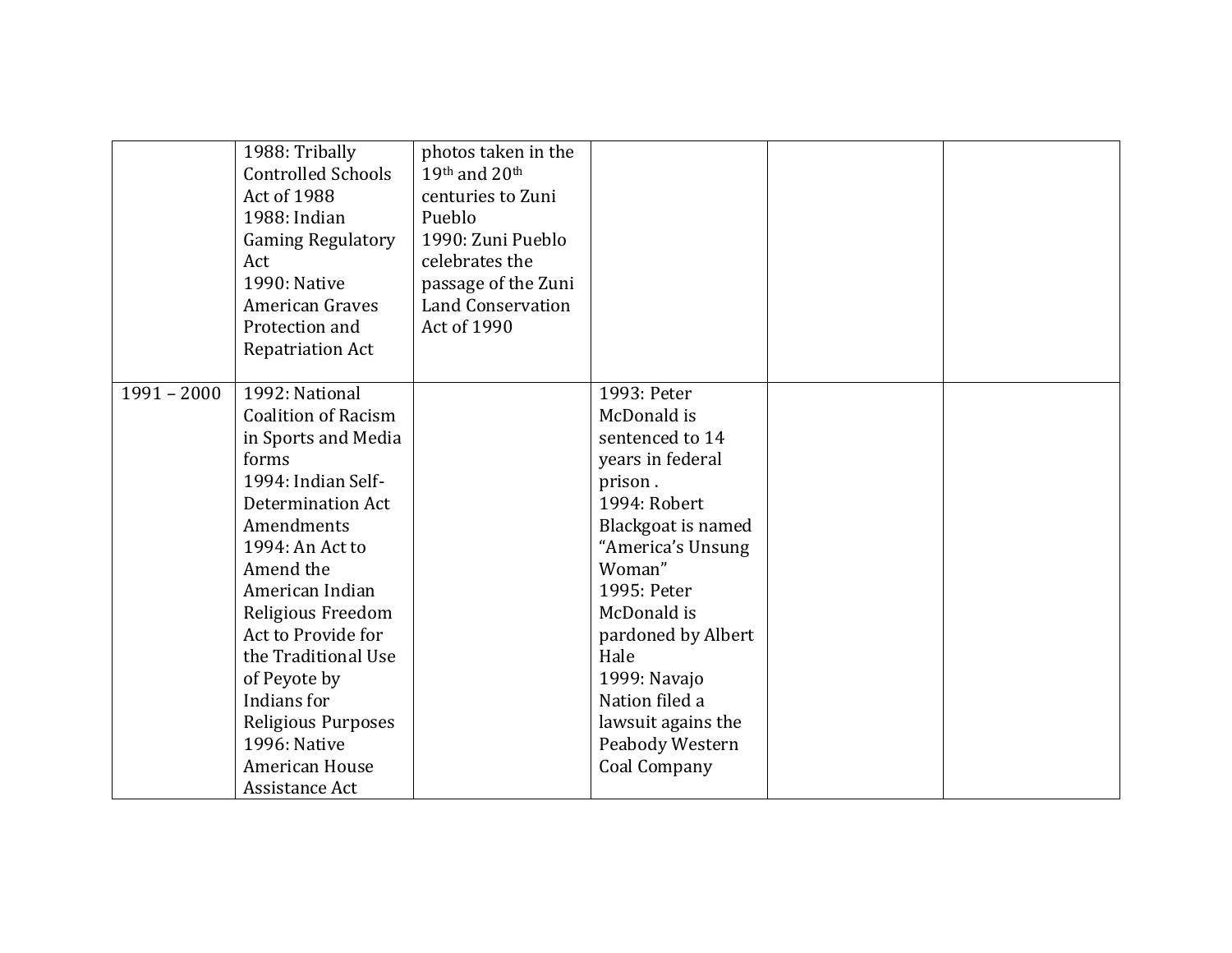|               | 1988: Tribally<br><b>Controlled Schools</b><br>Act of 1988<br>1988: Indian<br><b>Gaming Regulatory</b><br>Act<br>1990: Native<br><b>American Graves</b><br>Protection and<br><b>Repatriation Act</b>                                                                                                                                                                | photos taken in the<br>19th and 20th<br>centuries to Zuni<br>Pueblo<br>1990: Zuni Pueblo<br>celebrates the<br>passage of the Zuni<br><b>Land Conservation</b><br>Act of 1990 |                                                                                                                                                                                                                                                                                                          |  |
|---------------|---------------------------------------------------------------------------------------------------------------------------------------------------------------------------------------------------------------------------------------------------------------------------------------------------------------------------------------------------------------------|------------------------------------------------------------------------------------------------------------------------------------------------------------------------------|----------------------------------------------------------------------------------------------------------------------------------------------------------------------------------------------------------------------------------------------------------------------------------------------------------|--|
| $1991 - 2000$ | 1992: National<br><b>Coalition of Racism</b><br>in Sports and Media<br>forms<br>1994: Indian Self-<br>Determination Act<br>Amendments<br>1994: An Act to<br>Amend the<br>American Indian<br>Religious Freedom<br>Act to Provide for<br>the Traditional Use<br>of Peyote by<br>Indians for<br>Religious Purposes<br>1996: Native<br>American House<br>Assistance Act |                                                                                                                                                                              | 1993: Peter<br>McDonald is<br>sentenced to 14<br>years in federal<br>prison.<br>1994: Robert<br>Blackgoat is named<br>"America's Unsung<br>Woman"<br>1995: Peter<br>McDonald is<br>pardoned by Albert<br>Hale<br>1999: Navajo<br>Nation filed a<br>lawsuit agains the<br>Peabody Western<br>Coal Company |  |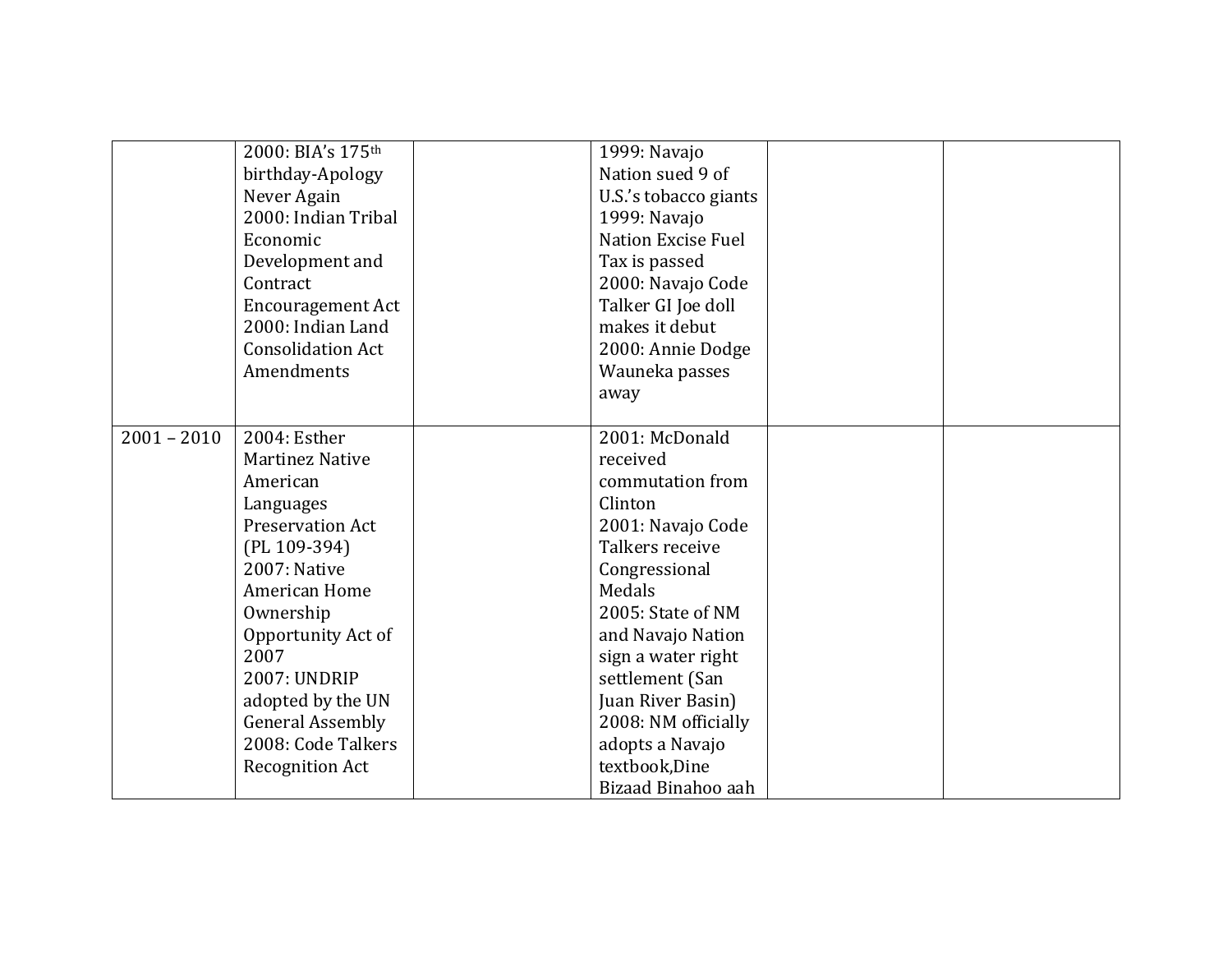|               | 2000: BIA's 175 <sup>th</sup> | 1999: Navajo              |  |
|---------------|-------------------------------|---------------------------|--|
|               | birthday-Apology              | Nation sued 9 of          |  |
|               | Never Again                   | U.S.'s tobacco giants     |  |
|               | 2000: Indian Tribal           | 1999: Navajo              |  |
|               | Economic                      | <b>Nation Excise Fuel</b> |  |
|               | Development and               | Tax is passed             |  |
|               | Contract                      | 2000: Navajo Code         |  |
|               | <b>Encouragement Act</b>      | Talker GI Joe doll        |  |
|               | 2000: Indian Land             | makes it debut            |  |
|               | <b>Consolidation Act</b>      | 2000: Annie Dodge         |  |
|               | Amendments                    | Wauneka passes            |  |
|               |                               | away                      |  |
|               |                               |                           |  |
| $2001 - 2010$ | 2004: Esther                  | 2001: McDonald            |  |
|               | <b>Martinez Native</b>        | received                  |  |
|               | American                      | commutation from          |  |
|               | Languages                     | Clinton                   |  |
|               | <b>Preservation Act</b>       | 2001: Navajo Code         |  |
|               | (PL 109-394)                  | Talkers receive           |  |
|               | 2007: Native                  | Congressional             |  |
|               | American Home                 | Medals                    |  |
|               | Ownership                     | 2005: State of NM         |  |
|               | Opportunity Act of            | and Navajo Nation         |  |
|               | 2007                          | sign a water right        |  |
|               | 2007: UNDRIP                  | settlement (San           |  |
|               | adopted by the UN             | Juan River Basin)         |  |
|               | <b>General Assembly</b>       | 2008: NM officially       |  |
|               | 2008: Code Talkers            | adopts a Navajo           |  |
|               | <b>Recognition Act</b>        | textbook, Dine            |  |
|               |                               | Bizaad Binahoo aah        |  |